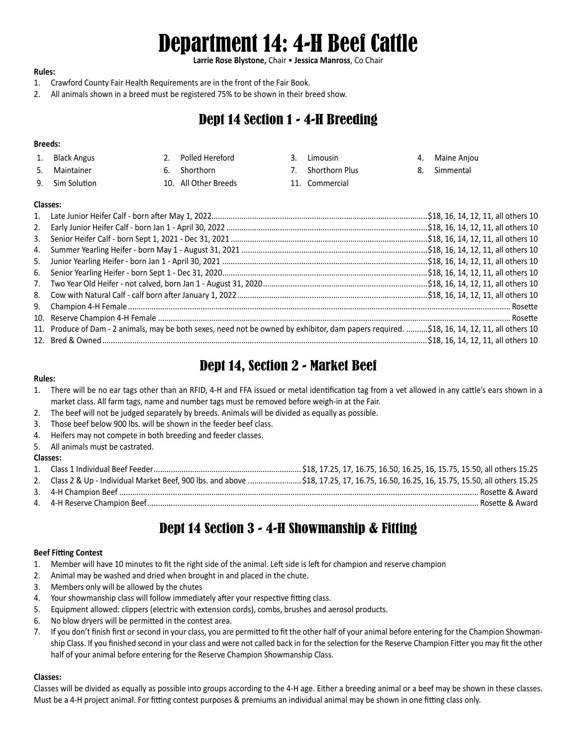# Department 14: 4-H Beef Cattle

**Larrie Rose Blystone,** Chair • **Jessica Manross**, Co Chair

#### **Rules:**

- 1. Crawford County Fair Health Requirements are in the front of the Fair Book.
- 2. All animals shown in a breed must be registered 75% to be shown in their breed show.

## Dept 14 Section 1 - 4-H Breeding

#### **Breeds:**

- 1. Black Angus 2. Polled Hereford 3. Limousin 4. Maine Anjou
	- -
- 
- 
- 5. Maintainer 6. Shorthorn 7. Shorthorn Plus 8. Simmental
- 9. Sim Solution 10. All Other Breeds 11. Commercial
- 
- 

#### **Classes:**

| 3. |                                                                                                                                             |  |
|----|---------------------------------------------------------------------------------------------------------------------------------------------|--|
|    |                                                                                                                                             |  |
| 5. |                                                                                                                                             |  |
| 6. |                                                                                                                                             |  |
| 7. |                                                                                                                                             |  |
|    |                                                                                                                                             |  |
|    |                                                                                                                                             |  |
|    |                                                                                                                                             |  |
|    | 11. Produce of Dam - 2 animals, may be both sexes, need not be owned by exhibitor, dam papers required. \$18, 16, 14, 12, 11, all others 10 |  |
|    |                                                                                                                                             |  |

# Dept 14, Section 2 - Market Beef

## **Rules:**

- 1. There will be no ear tags other than an RFID, 4-H and FFA issued or metal identification tag from a vet allowed in any cattle's ears shown in a market class. All farm tags, name and number tags must be removed before weigh-in at the Fair.
- 2. The beef will not be judged separately by breeds. Animals will be divided as equally as possible.
- 3. Those beef below 900 lbs. will be shown in the feeder beef class.
- 4. Heifers may not compete in both breeding and feeder classes.
- 5. All animals must be castrated.

## **Classes:**

| 2. | Class 2 & Up - Individual Market Beef, 900 lbs. and above \$18, 17.25, 17, 16.75, 16.50, 16.25, 16, 15.75, 15.50, all others 15.25 |
|----|------------------------------------------------------------------------------------------------------------------------------------|
|    | . Rosette & Award                                                                                                                  |
|    | . Rosette & Award                                                                                                                  |
|    |                                                                                                                                    |

# Dept 14 Section 3 - 4-H Showmanship & Fitting

## **Beef Fitting Contest**

- 1. Member will have 10 minutes to fit the right side of the animal. Left side is left for champion and reserve champion
- 2. Animal may be washed and dried when brought in and placed in the chute.
- 3. Members only will be allowed by the chutes
- 4. Your showmanship class will follow immediately after your respective fitting class.
- 5. Equipment allowed: clippers (electric with extension cords), combs, brushes and aerosol products.
- 6. No blow dryers will be permitted in the contest area.
- 7. If you don't finish first or second in your class, you are permitted to fit the other half of your animal before entering for the Champion Showmanship Class. If you finished second in your class and were not called back in for the selection for the Reserve Champion Fitter you may fit the other half of your animal before entering for the Reserve Champion Showmanship Class.

#### **Classes:**

Classes will be divided as equally as possible into groups according to the 4-H age. Either a breeding animal or a beef may be shown in these classes. Must be a 4-H project animal. For fitting contest purposes & premiums an individual animal may be shown in one fitting class only.